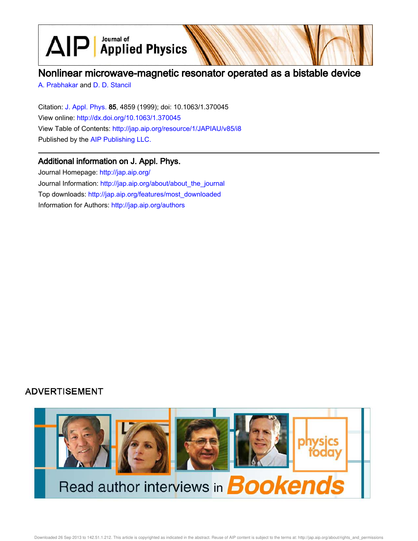$\text{AlP}$  Applied Physics

# Nonlinear microwave-magnetic resonator operated as a bistable device

A. Prabhakar and D. D. Stancil

Citation: J. Appl. Phys. 85, 4859 (1999); doi: 10.1063/1.370045 View online: http://dx.doi.org/10.1063/1.370045 View Table of Contents: http://jap.aip.org/resource/1/JAPIAU/v85/i8 Published by the AIP Publishing LLC.

### Additional information on J. Appl. Phys.

Journal Homepage: http://jap.aip.org/ Journal Information: http://jap.aip.org/about/about\_the\_journal Top downloads: http://jap.aip.org/features/most\_downloaded Information for Authors: http://jap.aip.org/authors

## **ADVERTISEMENT**



Downloaded 26 Sep 2013 to 142.51.1.212. This article is copyrighted as indicated in the abstract. Reuse of AIP content is subject to the terms at: http://jap.aip.org/about/rights\_and\_permissions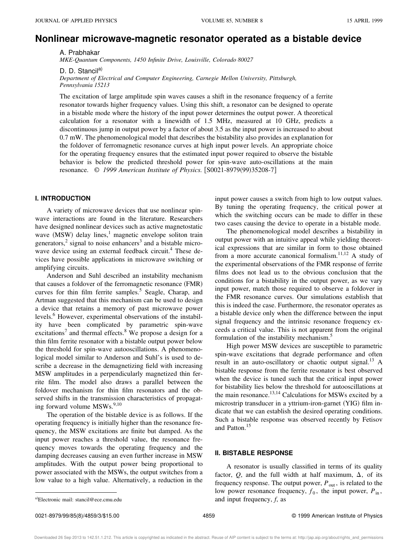## **Nonlinear microwave-magnetic resonator operated as a bistable device**

A. Prabhakar *MKE-Quantum Components, 1450 Infinite Drive, Louisville, Colorado 80027*

D. D. Stancil<sup>a)</sup>

*Department of Electrical and Computer Engineering, Carnegie Mellon University, Pittsburgh, Pennsylvania 15213*

The excitation of large amplitude spin waves causes a shift in the resonance frequency of a ferrite resonator towards higher frequency values. Using this shift, a resonator can be designed to operate in a bistable mode where the history of the input power determines the output power. A theoretical calculation for a resonator with a linewidth of 1.5 MHz, measured at 10 GHz, predicts a discontinuous jump in output power by a factor of about 3.5 as the input power is increased to about 0.7 mW. The phenomenological model that describes the bistability also provides an explanation for the foldover of ferromagnetic resonance curves at high input power levels. An appropriate choice for the operating frequency ensures that the estimated input power required to observe the bistable behavior is below the predicted threshold power for spin-wave auto-oscillations at the main resonance. © 1999 American Institute of Physics. [S0021-8979(99)35208-7]

#### **I. INTRODUCTION**

A variety of microwave devices that use nonlinear spinwave interactions are found in the literature. Researchers have designed nonlinear devices such as active magnetostatic wave  $(MSW)$  delay lines,<sup>1</sup> magnetic envelope soliton train generators, $\frac{2}{3}$  signal to noise enhancers<sup>3</sup> and a bistable microwave device using an external feedback circuit.<sup>4</sup> These devices have possible applications in microwave switching or amplifying circuits.

Anderson and Suhl described an instability mechanism that causes a foldover of the ferromagnetic resonance (FMR) curves for thin film ferrite samples.<sup>5</sup> Seagle, Charap, and Artman suggested that this mechanism can be used to design a device that retains a memory of past microwave power levels.<sup>6</sup> However, experimental observations of the instability have been complicated by parametric spin-wave excitations<sup>7</sup> and thermal effects.<sup>8</sup> We propose a design for a thin film ferrite resonator with a bistable output power below the threshold for spin-wave autooscillations. A phenomenological model similar to Anderson and Suhl's is used to describe a decrease in the demagnetizing field with increasing MSW amplitudes in a perpendicularly magnetized thin ferrite film. The model also draws a parallel between the foldover mechanism for thin film resonators and the observed shifts in the transmission characteristics of propagating forward volume MSWs.<sup>9,10</sup>

The operation of the bistable device is as follows. If the operating frequency is initially higher than the resonance frequency, the MSW excitations are finite but damped. As the input power reaches a threshold value, the resonance frequency moves towards the operating frequency and the damping decreases causing an even further increase in MSW amplitudes. With the output power being proportional to power associated with the MSWs, the output switches from a low value to a high value. Alternatively, a reduction in the input power causes a switch from high to low output values. By tuning the operating frequency, the critical power at which the switching occurs can be made to differ in these two cases causing the device to operate in a bistable mode.

The phenomenological model describes a bistability in output power with an intuitive appeal while yielding theoretical expressions that are similar in form to those obtained from a more accurate canonical formalism. $11,12$  A study of the experimental observations of the FMR response of ferrite films does not lead us to the obvious conclusion that the conditions for a bistability in the output power, as we vary input power, match those required to observe a foldover in the FMR resonance curves. Our simulations establish that this is indeed the case. Furthermore, the resonator operates as a bistable device only when the difference between the input signal frequency and the intrinsic resonance frequency exceeds a critical value. This is not apparent from the original formulation of the instability mechanism.<sup>5</sup>

High power MSW devices are susceptible to parametric spin-wave excitations that degrade performance and often result in an auto-oscillatory or chaotic output signal.<sup>13</sup> A bistable response from the ferrite resonator is best observed when the device is tuned such that the critical input power for bistability lies below the threshold for autooscillations at the main resonance.<sup>13,14</sup> Calculations for MSWs excited by a microstrip transducer in a yttrium-iron-garnet (YIG) film indicate that we can establish the desired operating conditions. Such a bistable response was observed recently by Fetisov and Patton.<sup>15</sup>

#### **II. BISTABLE RESPONSE**

A resonator is usually classified in terms of its quality factor,  $Q$ , and the full width at half maximum,  $\Delta$ , of its frequency response. The output power,  $P_{\text{out}}$ , is related to the low power resonance frequency,  $f_0$ , the input power,  $P_{\text{in}}$ , a)Electronic mail: stancil@ece.cmu.edu and input frequency, *f*, as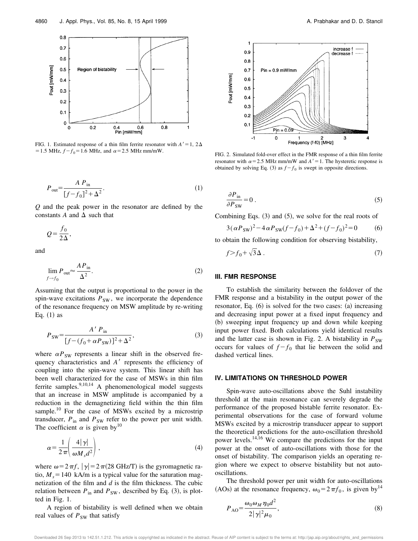

FIG. 1. Estimated response of a thin film ferrite resonator with  $A' = 1$ ,  $2\Delta$ = 1.5 MHz,  $f - f_0$  = 1.6 MHz, and  $\alpha$  = 2.5 MHz mm/mW. FIG. 2. Simulated fold-over effect in the FMR response of a thin film ferrite

$$
P_{\text{out}} = \frac{A P_{\text{in}}}{[f - f_0]^2 + \Delta^2}.
$$
 (1)

*Q* and the peak power in the resonator are defined by the constants  $A$  and  $\Delta$  such that

$$
Q=\frac{f_0}{2\Delta},
$$

and

$$
\lim_{f \to f_0} P_{\text{out}} \approx \frac{AP_{\text{in}}}{\Delta^2}.
$$
\n(2)

Assuming that the output is proportional to the power in the spin-wave excitations  $P_{SW}$ , we incorporate the dependence of the resonance frequency on MSW amplitude by re-writing Eq.  $(1)$  as

$$
P_{\text{SW}} = \frac{A' \ P_{\text{in}}}{[f - (f_0 + \alpha P_{\text{SW}})]^2 + \Delta^2},\tag{3}
$$

where  $\alpha P_{SW}$  represents a linear shift in the observed frequency characteristics and *A*<sup> $\prime$ </sup> represents the efficiency of coupling into the spin-wave system. This linear shift has been well characterized for the case of MSWs in thin film ferrite samples. $9,10,14$  A phenomenological model suggests that an increase in MSW amplitude is accompanied by a reduction in the demagnetizing field within the thin film sample.<sup>10</sup> For the case of MSWs excited by a microstrip transducer,  $P_{\text{in}}$  and  $P_{\text{SW}}$  refer to the power per unit width. The coefficient  $\alpha$  is given by<sup>10</sup>

$$
\alpha = \frac{1}{2\pi} \left( \frac{4|\gamma|}{\omega M_s d^2} \right),\tag{4}
$$

where  $\omega = 2\pi f$ ,  $|\gamma| = 2\pi (28 \text{ GHz/T})$  is the gyromagnetic ratio,  $M_s$ =140 kA/m is a typical value for the saturation magnetization of the film and *d* is the film thickness. The cubic relation between  $P_{\text{in}}$  and  $P_{\text{SW}}$ , described by Eq. (3), is plotted in Fig. 1.

A region of bistability is well defined when we obtain real values of  $P_{SW}$  that satisfy



resonator with  $\alpha$ =2.5 MHz mm/mW and *A*<sup> $1$ </sup> = 1. The hysteretic response is obtained by solving Eq. (3) as  $f - f_0$  is swept in opposite directions.

$$
\frac{\partial P_{\text{in}}}{\partial P_{\text{SW}}} = 0 \tag{5}
$$

Combining Eqs.  $(3)$  and  $(5)$ , we solve for the real roots of

$$
3(\alpha P_{SW})^2 - 4\alpha P_{SW}(f - f_0) + \Delta^2 + (f - f_0)^2 = 0
$$
 (6)

to obtain the following condition for observing bistability,

$$
f > f_0 + \sqrt{3}\Delta \tag{7}
$$

#### **III. FMR RESPONSE**

To establish the similarity between the foldover of the FMR response and a bistability in the output power of the resonator, Eq.  $(6)$  is solved for the two cases:  $(a)$  increasing and decreasing input power at a fixed input frequency and (b) sweeping input frequency up and down while keeping input power fixed. Both calculations yield identical results and the latter case is shown in Fig. 2. A bistability in  $P_{SW}$ occurs for values of  $f - f_0$  that lie between the solid and dashed vertical lines.

#### **IV. LIMITATIONS ON THRESHOLD POWER**

Spin-wave auto-oscillations above the Suhl instability threshold at the main resonance can severely degrade the performance of the proposed bistable ferrite resonator. Experimental observations for the case of forward volume MSWs excited by a microstrip transducer appear to support the theoretical predictions for the auto-oscillation threshold power levels.14,16 We compare the predictions for the input power at the onset of auto-oscillations with those for the onset of bistability. The comparison yields an operating region where we expect to observe bistability but not autooscillations.

The threshold power per unit width for auto-oscillations (AOs) at the resonance frequency,  $\omega_0 = 2 \pi f_0$ , is given by<sup>14</sup>

$$
P_{\rm AO} = \frac{\omega_0 \omega_M \eta_0 d^2}{2|\gamma|^2 \mu_0},\tag{8}
$$

Downloaded 26 Sep 2013 to 142.51.1.212. This article is copyrighted as indicated in the abstract. Reuse of AIP content is subject to the terms at: http://jap.aip.org/about/rights\_and\_permissions